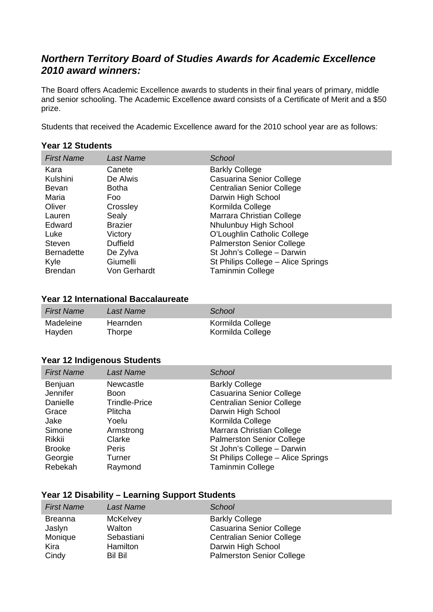# *Northern Territory Board of Studies Awards for Academic Excellence 2010 award winners:*

The Board offers Academic Excellence awards to students in their final years of primary, middle and senior schooling. The Academic Excellence award consists of a Certificate of Merit and a \$50 prize.

Students that received the Academic Excellence award for the 2010 school year are as follows:

#### **Year 12 Students**

| <b>First Name</b> | Last Name       | <b>School</b>                      |
|-------------------|-----------------|------------------------------------|
| Kara              | Canete          | <b>Barkly College</b>              |
| Kulshini          | De Alwis        | Casuarina Senior College           |
| Bevan             | Botha           | <b>Centralian Senior College</b>   |
| Maria             | Foo             | Darwin High School                 |
| Oliver            | Crossley        | Kormilda College                   |
| Lauren            | Sealy           | Marrara Christian College          |
| Edward            | <b>Brazier</b>  | Nhulunbuy High School              |
| Luke              | Victory         | O'Loughlin Catholic College        |
| <b>Steven</b>     | <b>Duffield</b> | <b>Palmerston Senior College</b>   |
| <b>Bernadette</b> | De Zylva        | St John's College - Darwin         |
| Kyle              | Giumelli        | St Philips College - Alice Springs |
| <b>Brendan</b>    | Von Gerhardt    | <b>Taminmin College</b>            |

### **Year 12 International Baccalaureate**

| <b>First Name</b> | Last Name | School           |
|-------------------|-----------|------------------|
| Madeleine         | Hearnden  | Kormilda College |
| Hayden            | Thorpe    | Kormilda College |

#### **Year 12 Indigenous Students**

| <b>First Name</b>                                                                                | <b>Last Name</b>                                                                                               | School                                                                                                                                                                                                                                                               |
|--------------------------------------------------------------------------------------------------|----------------------------------------------------------------------------------------------------------------|----------------------------------------------------------------------------------------------------------------------------------------------------------------------------------------------------------------------------------------------------------------------|
| Benjuan<br>Jennifer<br>Danielle<br>Grace<br>Jake<br>Simone<br>Rikkii<br><b>Brooke</b><br>Georgie | Newcastle<br><b>Boon</b><br><b>Trindle-Price</b><br>Plitcha<br>Yoelu<br>Armstrong<br>Clarke<br>Peris<br>Turner | <b>Barkly College</b><br>Casuarina Senior College<br><b>Centralian Senior College</b><br>Darwin High School<br>Kormilda College<br>Marrara Christian College<br><b>Palmerston Senior College</b><br>St John's College - Darwin<br>St Philips College - Alice Springs |
| Rebekah                                                                                          | Raymond                                                                                                        | <b>Taminmin College</b>                                                                                                                                                                                                                                              |

#### **Year 12 Disability – Learning Support Students**

| <b>First Name</b> | Last Name      | School                           |
|-------------------|----------------|----------------------------------|
| <b>Breanna</b>    | McKelvey       | <b>Barkly College</b>            |
| Jaslyn            | Walton         | Casuarina Senior College         |
| Monique           | Sebastiani     | <b>Centralian Senior College</b> |
| Kira              | Hamilton       | Darwin High School               |
| Cindy             | <b>Bil Bil</b> | <b>Palmerston Senior College</b> |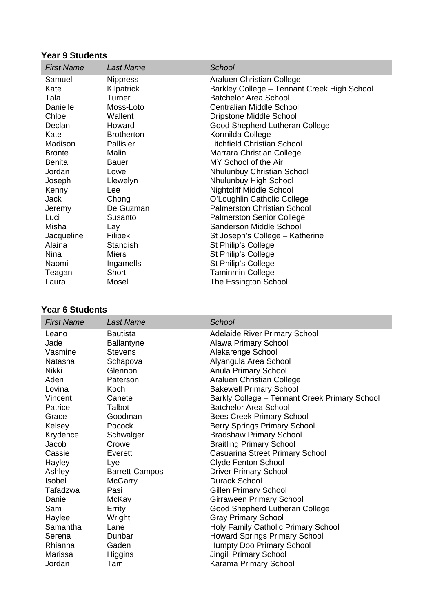## **Year 9 Students**

| <b>First Name</b> | <b>Last Name</b>  | School                                      |
|-------------------|-------------------|---------------------------------------------|
| Samuel            | <b>Nippress</b>   | Araluen Christian College                   |
| Kate              | Kilpatrick        | Barkley College - Tennant Creek High School |
| Tala              | Turner            | <b>Batchelor Area School</b>                |
| Danielle          | Moss-Loto         | Centralian Middle School                    |
| Chloe             | Wallent           | Dripstone Middle School                     |
| Declan            | Howard            | Good Shepherd Lutheran College              |
| Kate              | <b>Brotherton</b> | Kormilda College                            |
| Madison           | Pallisier         | Litchfield Christian School                 |
| <b>Bronte</b>     | Malin             | Marrara Christian College                   |
| <b>Benita</b>     | <b>Bauer</b>      | MY School of the Air                        |
| Jordan            | Lowe              | <b>Nhulunbuy Christian School</b>           |
| Joseph            | Llewelyn          | Nhulunbuy High School                       |
| Kenny             | Lee               | <b>Nightcliff Middle School</b>             |
| Jack              | Chong             | O'Loughlin Catholic College                 |
| Jeremy            | De Guzman         | <b>Palmerston Christian School</b>          |
| Luci              | Susanto           | <b>Palmerston Senior College</b>            |
| Misha             | Lay               | Sanderson Middle School                     |
| Jacqueline        | Filipek           | St Joseph's College - Katherine             |
| Alaina            | Standish          | St Philip's College                         |
| Nina              | Miers             | St Philip's College                         |
| Naomi             | Ingamells         | St Philip's College                         |
| Teagan            | Short             | <b>Taminmin College</b>                     |
| Laura             | Mosel             | The Essington School                        |

### **Year 6 Students**

| <b>First Name</b> | <b>Last Name</b>      | School                                        |
|-------------------|-----------------------|-----------------------------------------------|
| Leano             | <b>Bautista</b>       | <b>Adelaide River Primary School</b>          |
| Jade              | <b>Ballantyne</b>     | <b>Alawa Primary School</b>                   |
| Vasmine           | <b>Stevens</b>        | Alekarenge School                             |
| Natasha           | Schapova              | Alyangula Area School                         |
| Nikki             | Glennon               | <b>Anula Primary School</b>                   |
| Aden              | Paterson              | Araluen Christian College                     |
| Lovina            | Koch                  | <b>Bakewell Primary School</b>                |
| Vincent           | Canete                | Barkly College - Tennant Creek Primary School |
| Patrice           | Talbot                | <b>Batchelor Area School</b>                  |
| Grace             | Goodman               | <b>Bees Creek Primary School</b>              |
| Kelsey            | Pocock                | <b>Berry Springs Primary School</b>           |
| Krydence          | Schwalger             | <b>Bradshaw Primary School</b>                |
| Jacob             | Crowe                 | <b>Braitling Primary School</b>               |
| Cassie            | Everett               | Casuarina Street Primary School               |
| Hayley            | Lye                   | <b>Clyde Fenton School</b>                    |
| Ashley            | <b>Barrett-Campos</b> | <b>Driver Primary School</b>                  |
| <b>Isobel</b>     | <b>McGarry</b>        | <b>Durack School</b>                          |
| Tafadzwa          | Pasi                  | <b>Gillen Primary School</b>                  |
| Daniel            | McKay                 | <b>Girraween Primary School</b>               |
| Sam               | Errity                | Good Shepherd Lutheran College                |
| Haylee            | Wright                | <b>Gray Primary School</b>                    |
| Samantha          | Lane                  | Holy Family Catholic Primary School           |
| Serena            | Dunbar                | <b>Howard Springs Primary School</b>          |
| <b>Rhianna</b>    | Gaden                 | <b>Humpty Doo Primary School</b>              |
| Marissa           | Higgins               | Jingili Primary School                        |
| Jordan            | Tam                   | Karama Primary School                         |